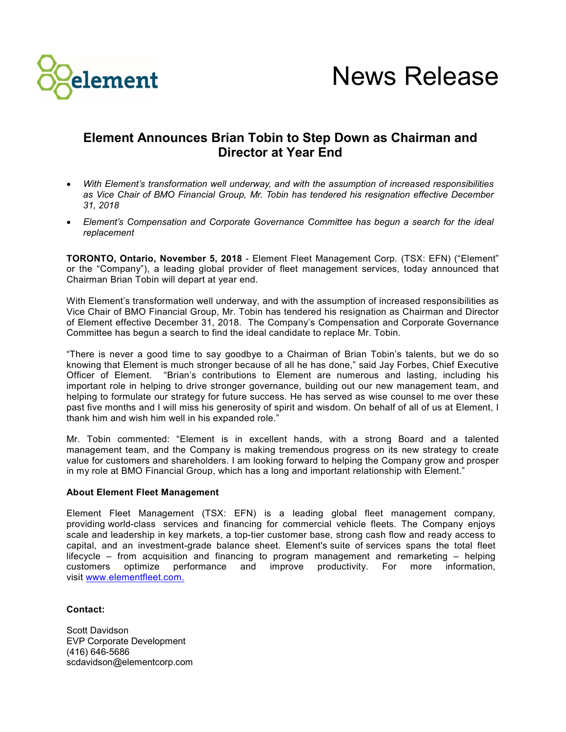

## **Element Announces Brian Tobin to Step Down as Chairman and Director at Year End**

- *With Element's transformation well underway, and with the assumption of increased responsibilities as Vice Chair of BMO Financial Group, Mr. Tobin has tendered his resignation effective December 31, 2018*
- *Element's Compensation and Corporate Governance Committee has begun a search for the ideal replacement*

**TORONTO, Ontario, November 5, 2018** - Element Fleet Management Corp. (TSX: EFN) ("Element" or the "Company"), a leading global provider of fleet management services, today announced that Chairman Brian Tobin will depart at year end.

With Element's transformation well underway, and with the assumption of increased responsibilities as Vice Chair of BMO Financial Group, Mr. Tobin has tendered his resignation as Chairman and Director of Element effective December 31, 2018. The Company's Compensation and Corporate Governance Committee has begun a search to find the ideal candidate to replace Mr. Tobin.

"There is never a good time to say goodbye to a Chairman of Brian Tobin's talents, but we do so knowing that Element is much stronger because of all he has done," said Jay Forbes, Chief Executive Officer of Element. "Brian's contributions to Element are numerous and lasting, including his important role in helping to drive stronger governance, building out our new management team, and helping to formulate our strategy for future success. He has served as wise counsel to me over these past five months and I will miss his generosity of spirit and wisdom. On behalf of all of us at Element, I thank him and wish him well in his expanded role."

Mr. Tobin commented: "Element is in excellent hands, with a strong Board and a talented management team, and the Company is making tremendous progress on its new strategy to create value for customers and shareholders. I am looking forward to helping the Company grow and prosper in my role at BMO Financial Group, which has a long and important relationship with Element."

## **About Element Fleet Management**

Element Fleet Management (TSX: EFN) is a leading global fleet management company, providing world-class services and financing for commercial vehicle fleets. The Company enjoys scale and leadership in key markets, a top-tier customer base, strong cash flow and ready access to capital, and an investment-grade balance sheet. Element's suite of services spans the total fleet lifecycle – from acquisition and financing to program management and remarketing – helping customers optimize performance and improve productivity. For more information, visit www.elementfleet.com.

## **Contact:**

Scott Davidson EVP Corporate Development (416) 646-5686 scdavidson@elementcorp.com